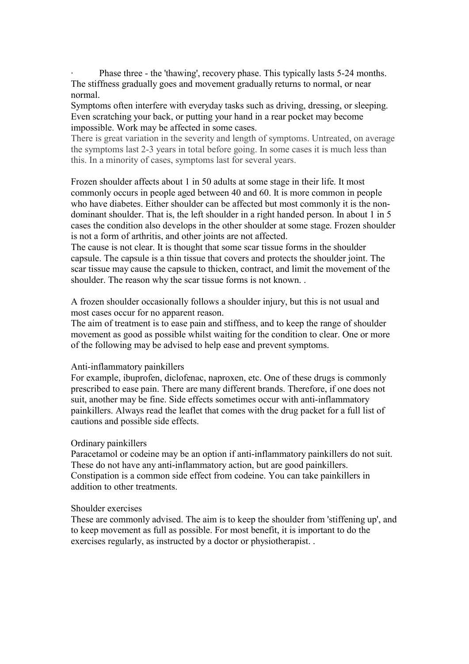Phase three - the 'thawing', recovery phase. This typically lasts 5-24 months. The stiffness gradually goes and movement gradually returns to normal, or near normal.

Symptoms often interfere with everyday tasks such as driving, dressing, or sleeping. Even scratching your back, or putting your hand in a rear pocket may become impossible. Work may be affected in some cases.

There is great variation in the severity and length of symptoms. Untreated, on average the symptoms last 2-3 years in total before going. In some cases it is much less than this. In a minority of cases, symptoms last for several years.

Frozen shoulder affects about 1 in 50 adults at some stage in their life. It most commonly occurs in people aged between 40 and 60. It is more common in people who have diabetes. Either shoulder can be affected but most commonly it is the nondominant shoulder. That is, the left shoulder in a right handed person. In about 1 in 5 cases the condition also develops in the other shoulder at some stage. Frozen shoulder is not a form of arthritis, and other joints are not affected.

The cause is not clear. It is thought that some scar tissue forms in the shoulder capsule. The capsule is a thin tissue that covers and protects the shoulder joint. The scar tissue may cause the capsule to thicken, contract, and limit the movement of the shoulder. The reason why the scar tissue forms is not known. .

A frozen shoulder occasionally follows a shoulder injury, but this is not usual and most cases occur for no apparent reason.

The aim of treatment is to ease pain and stiffness, and to keep the range of shoulder movement as good as possible whilst waiting for the condition to clear. One or more of the following may be advised to help ease and prevent symptoms.

#### Anti-inflammatory painkillers

For example, ibuprofen, diclofenac, naproxen, etc. One of these drugs is commonly prescribed to ease pain. There are many different brands. Therefore, if one does not suit, another may be fine. Side effects sometimes occur with anti-inflammatory painkillers. Always read the leaflet that comes with the drug packet for a full list of cautions and possible side effects.

### Ordinary painkillers

Paracetamol or codeine may be an option if anti-inflammatory painkillers do not suit. These do not have any anti-inflammatory action, but are good painkillers. Constipation is a common side effect from codeine. You can take painkillers in addition to other treatments.

### Shoulder exercises

These are commonly advised. The aim is to keep the shoulder from 'stiffening up', and to keep movement as full as possible. For most benefit, it is important to do the exercises regularly, as instructed by a doctor or physiotherapist. .